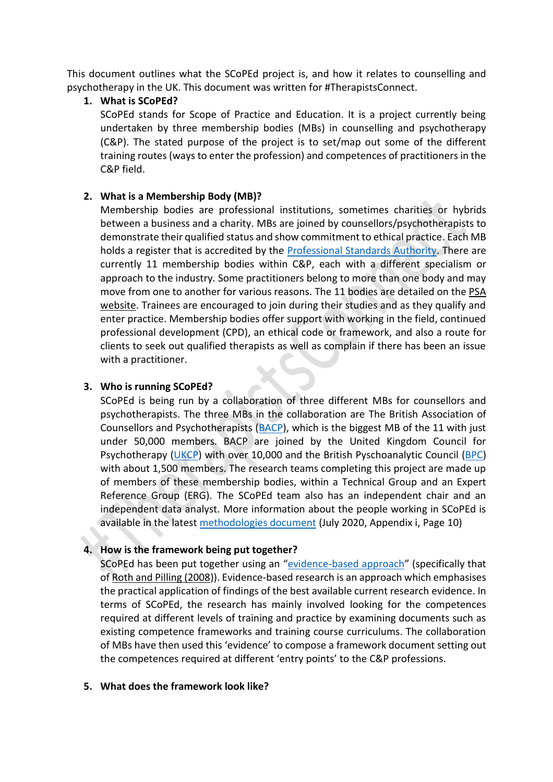This document outlines what the SCoPEd project is, and how it relates to counselling and psychotherapy in the UK. This document was written for #TherapistsConnect.

#### **1. What is SCoPEd?**

SCoPEd stands for Scope of Practice and Education. It is a project currently being undertaken by three membership bodies (MBs) in counselling and psychotherapy (C&P). The stated purpose of the project is to set/map out some of the different training routes (ways to enter the profession) and competences of practitioners in the C&P field.

## **2. What is a Membership Body (MB)?**

Membership bodies are professional institutions, sometimes charities or hybrids between a business and a charity. MBs are joined by counsellors/psychotherapists to demonstrate their qualified status and show commitment to ethical practice. Each MB holds a register that is accredited by the [Professional Standards Authority.](https://www.professionalstandards.org.uk/) There are currently 11 membership bodies within C&P, each with a different specialism or approach to the industry. Some practitioners belong to more than one body and may move from one to another for various reasons. The 11 bodies are detailed on the [PSA](https://www.professionalstandards.org.uk/what-we-do/accredited-registers/find-a-register/-in-category/categories/professions/counselling)  [website.](https://www.professionalstandards.org.uk/what-we-do/accredited-registers/find-a-register/-in-category/categories/professions/counselling) Trainees are encouraged to join during their studies and as they qualify and enter practice. Membership bodies offer support with working in the field, continued professional development (CPD), an ethical code or framework, and also a route for clients to seek out qualified therapists as well as complain if there has been an issue with a practitioner.

## **3. Who is running SCoPEd?**

SCoPEd is being run by a collaboration of three different MBs for counsellors and psychotherapists. The three MBs in the collaboration are The British Association of Counsellors and Psychotherapists [\(BACP\)](https://www.bacp.co.uk/), which is the biggest MB of the 11 with just under 50,000 members. BACP are joined by the United Kingdom Council for Psychotherapy [\(UKCP\)](https://www.psychotherapy.org.uk/) with over 10,000 and the British Pyschoanalytic Council [\(BPC\)](https://www.bpc.org.uk/) with about 1,500 members. The research teams completing this project are made up of members of these membership bodies, within a Technical Group and an Expert Reference Group (ERG). The SCoPEd team also has an independent chair and an independent data analyst. More information about the people working in SCoPEd is available in the latest [methodologies document](https://www.bacp.co.uk/media/9118/scoped-methodology-update-july-2020.pdf) (July 2020, Appendix i, Page 10)

# **4. How is the framework being put together?**

SCoPEd has been put together using an "[evidence-based approach](https://www.bacp.co.uk/media/9118/scoped-methodology-update-july-2020.pdf)" (specifically that o[f Roth and Pilling \(2008\)](http://search.proquest.com/openview/bb82c6c368100ab13df43511b7d0fa21/1?pq-origsite=gscholar&cbl=10905)). Evidence-based research is an approach which emphasises the practical application of findings of the best available current research evidence. In terms of SCoPEd, the research has mainly involved looking for the competences required at different levels of training and practice by examining documents such as existing competence frameworks and training course curriculums. The collaboration of MBs have then used this 'evidence' to compose a framework document setting out the competences required at different 'entry points' to the C&P professions.

#### **5. What does the framework look like?**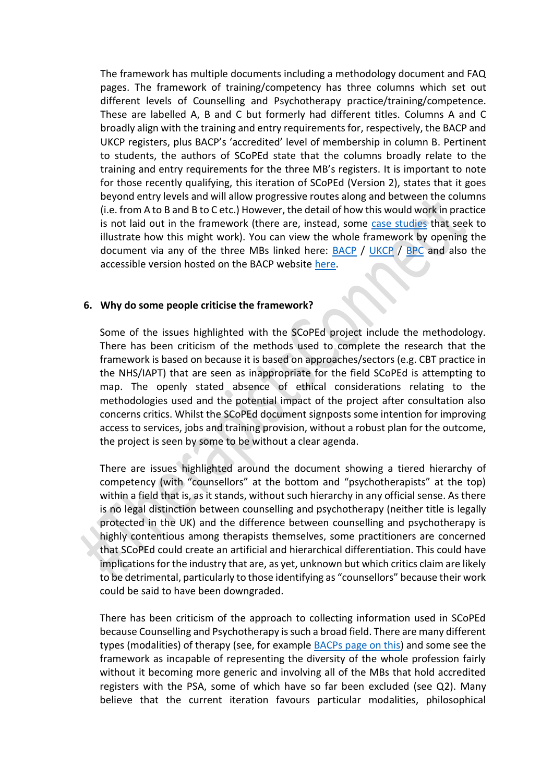The framework has multiple documents including a methodology document and FAQ pages. The framework of training/competency has three columns which set out different levels of Counselling and Psychotherapy practice/training/competence. These are labelled A, B and C but formerly had different titles. Columns A and C broadly align with the training and entry requirements for, respectively, the BACP and UKCP registers, plus BACP's 'accredited' level of membership in column B. Pertinent to students, the authors of SCoPEd state that the columns broadly relate to the training and entry requirements for the three MB's registers. It is important to note for those recently qualifying, this iteration of SCoPEd (Version 2), states that it goes beyond entry levels and will allow progressive routes along and between the columns (i.e. from A to B and B to C etc.) However, the detail of how this would work in practice is not laid out in the framework (there are, instead, some [case studies](https://www.bacp.co.uk/about-us/advancing-the-profession/scoped/scoped-case-studies/) that seek to illustrate how this might work). You can view the whole framework by opening the document via any of the three MBs linked here: [BACP](https://www.bacp.co.uk/about-us/advancing-the-profession/scoped/) / [UKCP](https://www.psychotherapy.org.uk/about-ukcp/consultations/scoped-project-update-july-2020/) / [BPC](https://www.bpc.org.uk/training/scoped/) and also the accessible version hosted on the BACP website [here.](https://www.bacp.co.uk/media/9180/scoped-draft-framework-accessible-july-2020.pdf)

## **6. Why do some people criticise the framework?**

Some of the issues highlighted with the SCoPEd project include the methodology. There has been criticism of the methods used to complete the research that the framework is based on because it is based on approaches/sectors (e.g. CBT practice in the NHS/IAPT) that are seen as inappropriate for the field SCoPEd is attempting to map. The openly stated absence of ethical considerations relating to the methodologies used and the potential impact of the project after consultation also concerns critics. Whilst the SCoPEd document signposts some intention for improving access to services, jobs and training provision, without a robust plan for the outcome, the project is seen by some to be without a clear agenda.

There are issues highlighted around the document showing a tiered hierarchy of competency (with "counsellors" at the bottom and "psychotherapists" at the top) within a field that is, as it stands, without such hierarchy in any official sense. As there is no legal distinction between counselling and psychotherapy (neither title is legally protected in the UK) and the difference between counselling and psychotherapy is highly contentious among therapists themselves, some practitioners are concerned that SCoPEd could create an artificial and hierarchical differentiation. This could have implications for the industry that are, as yet, unknown but which critics claim are likely to be detrimental, particularly to those identifying as "counsellors" because their work could be said to have been downgraded.

There has been criticism of the approach to collecting information used in SCoPEd because Counselling and Psychotherapy is such a broad field. There are many different types (modalities) of therapy (see, for example [BACPs page on this\)](https://www.google.com/url?sa=t&rct=j&q=&esrc=s&source=web&cd=&cad=rja&uact=8&ved=2ahUKEwiWr_6R9qbrAhWEThUIHYjGB0YQFjAAegQIARAC&url=https%3A%2F%2Fwww.bacp.co.uk%2Fabout-therapy%2Ftypes-of-therapy%2F&usg=AOvVaw0NzwfcNLlnKfyWpaJD0wWw) and some see the framework as incapable of representing the diversity of the whole profession fairly without it becoming more generic and involving all of the MBs that hold accredited registers with the PSA, some of which have so far been excluded (see Q2). Many believe that the current iteration favours particular modalities, philosophical